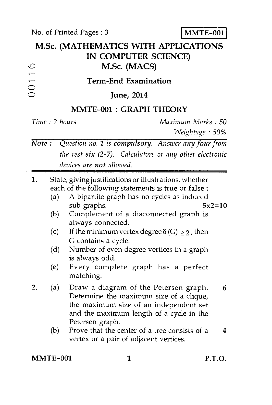No. of Printed Pages : 3 **MMTE-001** 

| M.Sc. (MATHEMATICS WITH APPLICATIONS<br>IN COMPUTER SCIENCE)<br>M.Sc. (MACS) |                                 |                                                                                                                                                                                                         |                                                                                                                                                                                                                                  |          |
|------------------------------------------------------------------------------|---------------------------------|---------------------------------------------------------------------------------------------------------------------------------------------------------------------------------------------------------|----------------------------------------------------------------------------------------------------------------------------------------------------------------------------------------------------------------------------------|----------|
| 00116                                                                        | <b>Term-End Examination</b>     |                                                                                                                                                                                                         |                                                                                                                                                                                                                                  |          |
| June, 2014                                                                   |                                 |                                                                                                                                                                                                         |                                                                                                                                                                                                                                  |          |
| MMTE-001 : GRAPH THEORY                                                      |                                 |                                                                                                                                                                                                         |                                                                                                                                                                                                                                  |          |
|                                                                              | Time: 2 hours                   |                                                                                                                                                                                                         | Maximum Marks: 50<br>Weightage: 50%                                                                                                                                                                                              |          |
| Note:<br>Question no. 1 is compulsory. Answer any four from                  |                                 |                                                                                                                                                                                                         |                                                                                                                                                                                                                                  |          |
| the rest $six$ (2-7). Calculators or any other electronic                    |                                 |                                                                                                                                                                                                         |                                                                                                                                                                                                                                  |          |
| devices are not allowed.                                                     |                                 |                                                                                                                                                                                                         |                                                                                                                                                                                                                                  |          |
| 1.                                                                           | (a)<br>(b)<br>(c)<br>(d)<br>(e) | State, giving justifications or illustrations, whether<br>each of the following statements is true or false :<br>sub graphs.<br>always connected.<br>G contains a cycle.<br>is always odd.<br>matching. | A bipartite graph has no cycles as induced<br>Complement of a disconnected graph is<br>If the minimum vertex degree $\delta(G) \geq 2$ , then<br>Number of even degree vertices in a graph<br>Every complete graph has a perfect | $5x2=10$ |
| 2.                                                                           | (a)<br>(b)                      | Petersen graph.<br>vertex or a pair of adjacent vertices.                                                                                                                                               | Draw a diagram of the Petersen graph.<br>Determine the maximum size of a clique,<br>the maximum size of an independent set<br>and the maximum length of a cycle in the<br>Prove that the center of a tree consists of a          | 6<br>4   |
| MMTE-001                                                                     |                                 | 1                                                                                                                                                                                                       |                                                                                                                                                                                                                                  | P.T.O.   |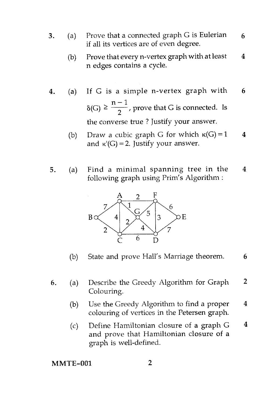- 3. (a) Prove that a connected graph G is Eulerian if all its vertices are of even degree. 6
	- (b) Prove that every n-vertex graph with at least  $4$ n edges contains a cycle.
- 4. (a) If G is a simple n-vertex graph with 6  $\delta(G) \geq \frac{n-1}{2}$ , prove that G is connected. Is the converse true ? Justify your answer.
	- (b) Draw a cubic graph G for which  $\kappa(G) = 1$  4 and  $\kappa'(G) = 2$ . Justify your answer.
- 5. (a) Find a minimal spanning tree in the 4 following graph using Prim's Algorithm :



- (b) State and prove Hall's Marriage theorem. 6
- 6. (a) Describe the Greedy Algorithm for Graph 2 Colouring.
	- (b) Use the Greedy Algorithm to find a proper  $4$ colouring of vertices in the Petersen graph.
	- (c) Define Hamiltonian closure of a graph  $G = 4$ and prove that Hamiltonian closure of a graph is well-defined.